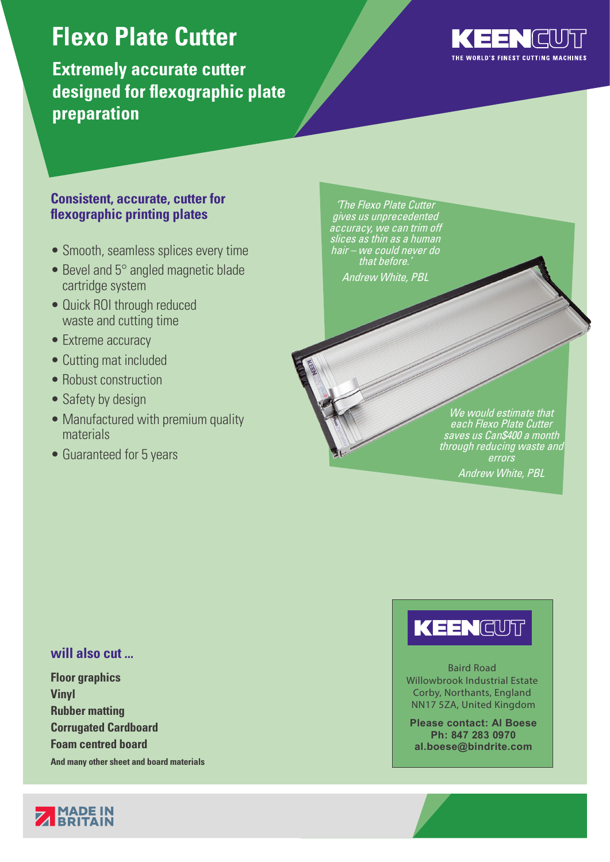## **Flexo Plate Cutter**

**Extremely accurate cutter designed for flexographic plate preparation** 



### **Consistent, accurate, cutter for flexographic printing plates**

- Smooth, seamless splices every time
- Bevel and 5° angled magnetic blade cartridge system
- Quick ROI through reduced waste and cutting time
- Extreme accuracy
- Cutting mat included
- Robust construction
- Safety by design
- Manufactured with premium quality materials
- Guaranteed for 5 years

'The Flexo Plate Cutter gives us unprecedented accuracy, we can trim off slices as thin as a human hair – we could never do that before. Andrew White, PBL

> We would estimate that each Flexo Plate Cutter saves us Can\$400 a month through reducing waste and errors Andrew White, PBL

### **will also cut ...**

**Floor graphics Vinyl Rubber matting Corrugated Cardboard Foam centred board**

**And many other sheet and board materials**



# KEENCUT

Baird Road Willowbrook Industrial Estate Corby, Northants, England NN17 5ZA, United Kingdom

**Please contact: Al Boese Ph: 847 283 0970 al.boese@bindrite.com**